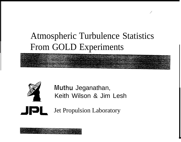### Atmospheric Turbulence Statistics From GOLD Experiments

,/



Muthu Jeganathan, Keith Wilson & Jim Lesh

Jet Propulsion Laboratory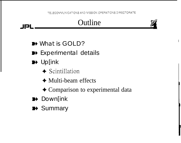#### JPL Outline



**I**

- **What is GOLD?**
- **»** Experimental details
- **»** Up[ink
	- $\triangleleft$  Scintillation
	- $\triangle$  Multi-beam effects
	- + Comparison to experimental data
- **>>** Down[ink
- **»** Summary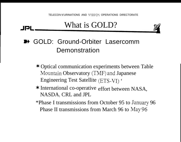#### What is GOLD?

#### w GOLD: Ground-Orbiter Lasercomm **Demonstration**

- \* Optical communication experiments between Table Mountain Observatory (TMF) and Japanese Engineering Test Satellite (ETS-VI) '
- \* International co-operative effort between NASA, NASDA. CRL and JPL .
- \*Phase I transmissions from October 95 to Januarv 96 Phase II transmissions from March 96 to May 96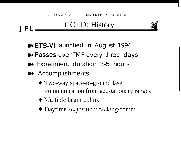#### J PL

#### GOLD: History

**WETS-VI launched in August 1994** 

- **»** Passes over TMF every three days
- **W** Experiment duration 3-5 hours
- **B+** Accomplishments
	- + Two-way space-to-ground laser communication from geostationary ranges
	- $\triangle$  Multiple beam uplink
	- + Daytime acquisition/tracking/comm.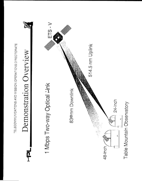



# Demonstration Overview コロー

TELECOMMUNICATIONS AND MISSION OPERATIONS DIRECTORATE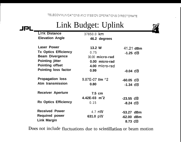|                             | Link Budget: Uplink  |                 |              |  |
|-----------------------------|----------------------|-----------------|--------------|--|
| Link Distance               | 37850.0 km           |                 |              |  |
| <b>Elevation Angle</b>      |                      | 46.2 degrees    |              |  |
| <b>Laser Power</b>          | 13.2 W               |                 | 41.21 dBm    |  |
| <b>Tx Optics Efficiency</b> | 0.75                 |                 | $-1.25$ dB   |  |
| <b>Beam Divergence</b>      |                      | 30.00 micro-rad |              |  |
| <b>Pointing jitter</b>      |                      | 0.00 micro-rad  |              |  |
| <b>Pointing offset</b>      |                      | 4.00 micro-rad  |              |  |
| <b>Pointing loss factor</b> | 0.99                 |                 | $-0.04$ dB   |  |
| <b>Propagation loss</b>     | 9.87E-07 I/m $^{12}$ |                 | $-60.05$ dB  |  |
| Atm transmission            | 0.80                 |                 | $-1.34$ dB   |  |
| <b>Receiver Aperture</b>    | $7.5$ cm             |                 |              |  |
|                             | 4.42E-03 $m^2$       |                 | $-23.55$ dB  |  |
| <b>Rx Optics Efficiency</b> | 0.15                 |                 | $-8.24$ dB   |  |
| <b>Received Power</b>       | $4.7$ nW             |                 | -53.27 dBm   |  |
| <b>Required power</b>       | 631.0 pW             |                 | $-62.00$ dBm |  |
| <b>Link Margin</b>          |                      |                 | $8.73$ dB    |  |

Does not include fluctuations due to scintillation or beam motion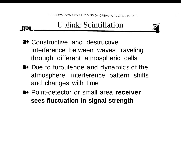#### Uplink: Scintillation

- **▶ Constructive and destructive** interference between waves traveling through different atmospheric cells
- **→** Due to turbulence and dynamics of the atmosphere, interference pattern shifts and changes with time
- Point-detector or small area **receiver sees fluctuation in signal strength**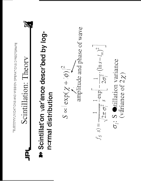TELECOMMUNICATIONS AND MISSION OPERATIONS DIRECTORATE Scintillation: Theory

ום<br>ה

# By Scintillat'on var'ance described by lognormal distribution



 $S \propto \left| \exp(\chi + \phi) \right|^2$ 

amplitude and phase of wave  $\mathbf{I}$ 

$$
f_S \quad s) = \frac{1}{\sqrt{2\pi \sigma_l^2}} - \exp\left[-\frac{1}{2\sigma_l^2} \cdot (\ln s - l_m)^2\right]
$$

$$
\sigma_i: S \text{ trillation variance}
$$
  
(variance of 2x)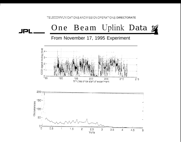## JPL One Beam Uplink Data

From November 17, 1995 Experiment

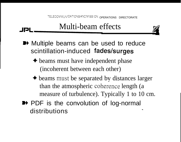

#### Multi-beam effects



- $\triangle$  beams must have independent phase (incoherent between each other)
- $\triangle$  beams must be separated by distances larger than the atmospheric coherence length (a measure of turbulence). Typically 1 to 10 cm.
- **A** PDF is the convolution of log-normal distributions \*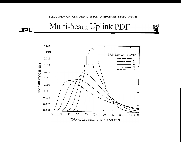

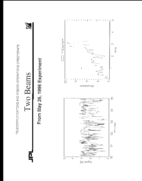





## Two Beams

# TELECOMMUNICATIONS AND MISSION OPERATIONS DIRECTORATE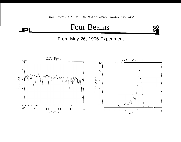

From May 26, 1996 Experiment

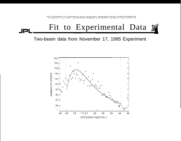#### Fit to Experimental Data **JPI**

Two-beam data from November 17, 1995 Experiment

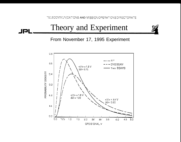## JPL Theory and Experiment

From November 17, 1995 Experiment

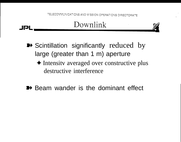

- **B** Scintillation significantly reduced by large (greater than 1 m) aperture
	- $\triangle$  Intensity averaged over constructive plus destructive interference
- **Beam wander is the dominant effect**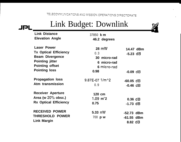#### JPL Link Budget: Downlink



| <b>Link Distance</b>         | 37850 km                                         |              |           |
|------------------------------|--------------------------------------------------|--------------|-----------|
| <b>Elevation Angle</b>       | 46.2 degrees                                     |              |           |
| <b>Laser Power</b>           | 28 mW                                            |              | 14.47 dBm |
| <b>Tx Optical Efficiency</b> | 0.3                                              | $-5.23$ dB   |           |
| <b>Beam Divergence</b>       | 30 micro-rad                                     |              |           |
| <b>Pointing jitter</b>       | 6 micro-rad                                      |              |           |
| <b>Pointing offset</b>       | 6 micro-rad                                      |              |           |
| <b>Pointing loss</b>         | 0.98                                             | $-0.09$ dB   |           |
| <b>Propagation loss</b>      | $9.87E-07$ 1/m <sup><math>\text{A}</math>2</sup> | $-60.05$ dB  |           |
| Atm transmission             | 0.9                                              | $-0.46$ dB   |           |
| <b>Receiver Aperture</b>     | 120 cm                                           |              |           |
| Area (w $20\%$ obsc.)        | 1.09 $m^2$                                       | $0.36$ dB    |           |
| <b>Rx Optical Efficiency</b> | 0.75                                             | -1.73 dB     |           |
| <b>RECEIVED POWER</b>        | $5.33$ nW                                        | $-52.73$ dBm |           |
| <b>THRESHOLD POWER</b>       | 700 <b>p</b> w                                   | $-61.55$ dBm |           |
| <b>Link Margin</b>           |                                                  | $8.82$ dB    |           |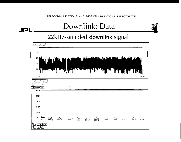#### Downlink: Data

**JPI** 



#### 22kHz-sampled downlink signal